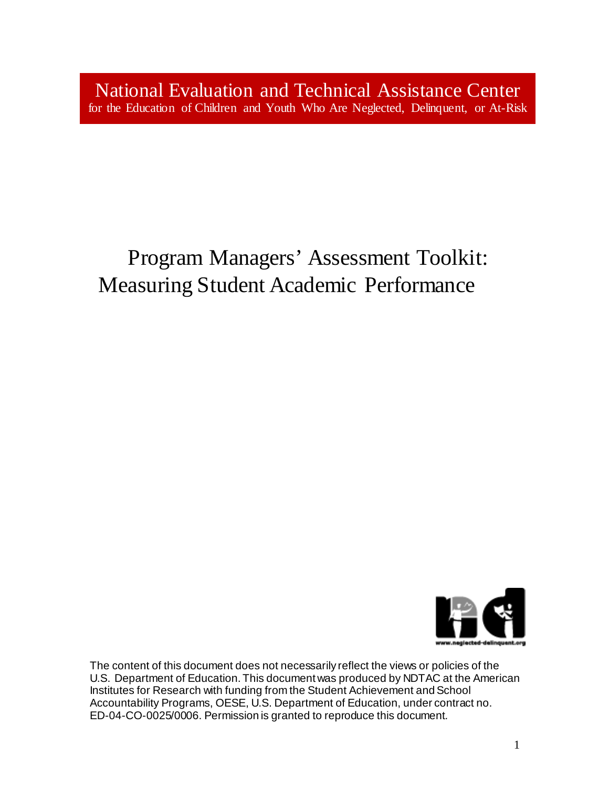National Evaluation and Technical Assistance Center for the Education of Children and Youth Who Are Neglected, Delinquent, or At-Risk

# Program Managers' Assessment Toolkit: Measuring Student Academic Performance



The content of this document does not necessarily reflect the views or policies of the U.S. Department of Education. This document was produced by NDTAC at the American Institutes for Research with funding from the Student Achievement and School Accountability Programs, OESE, U.S. Department of Education, under contract no. ED-04-CO-0025/0006. Permission is granted to reproduce this document*.*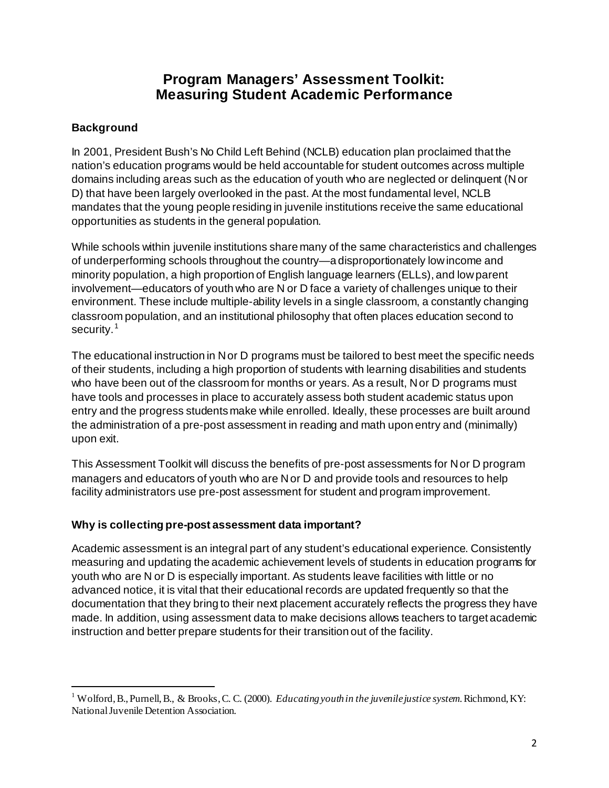# **Program Managers' Assessment Toolkit: Measuring Student Academic Performance**

# **Background**

 $\overline{a}$ 

In 2001, President Bush's No Child Left Behind (NCLB) education plan proclaimed that the nation's education programs would be held accountable for student outcomes across multiple domains including areas such as the education of youth who are neglected or delinquent (N or D) that have been largely overlooked in the past. At the most fundamental level, NCLB mandates that the young people residing in juvenile institutions receive the same educational opportunities as students in the general population.

While schools within juvenile institutions share many of the same characteristics and challenges of underperforming schools throughout the country—a disproportionately low income and minority population, a high proportion of English language learners (ELLs), and low parent involvement—educators of youth who are N or D face a variety of challenges unique to their environment. These include multiple-ability levels in a single classroom, a constantly changing classroom population, and an institutional philosophy that often places education second to security.<sup>[1](#page-1-0)</sup>

The educational instruction in N or D programs must be tailored to best meet the specific needs of their students, including a high proportion of students with learning disabilities and students who have been out of the classroom for months or years. As a result, N or D programs must have tools and processes in place to accurately assess both student academic status upon entry and the progress students make while enrolled. Ideally, these processes are built around the administration of a pre-post assessment in reading and math upon entry and (minimally) upon exit.

This Assessment Toolkit will discuss the benefits of pre-post assessments for N or D program managers and educators of youth who are N or D and provide tools and resources to help facility administrators use pre-post assessment for student and program improvement.

# **Why is collecting pre-post assessment data important?**

Academic assessment is an integral part of any student's educational experience. Consistently measuring and updating the academic achievement levels of students in education programs for youth who are N or D is especially important. As students leave facilities with little or no advanced notice, it is vital that their educational records are updated frequently so that the documentation that they bring to their next placement accurately reflects the progress they have made. In addition, using assessment data to make decisions allows teachers to target academic instruction and better prepare students for their transition out of the facility.

<span id="page-1-0"></span><sup>&</sup>lt;sup>1</sup> Wolford, B., Purnell, B., & Brooks, C. C. (2000). *Educating youthin the juvenile justice system*. Richmond, KY: NationalJuvenile Detention Association.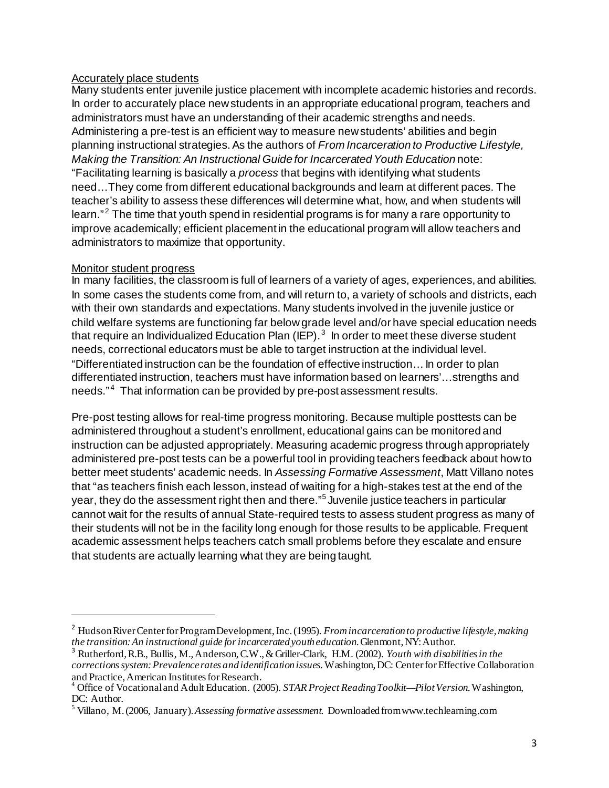### Accurately place students

Many students enter juvenile justice placement with incomplete academic histories and records. In order to accurately place new students in an appropriate educational program, teachers and administrators must have an understanding of their academic strengths and needs. Administering a pre-test is an efficient way to measure new students' abilities and begin planning instructional strategies. As the authors of *From Incarceration to Productive Lifestyle, Making the Transition: An Instructional Guide for Incarcerated Youth Education note:* "Facilitating learning is basically a *process* that begins with identifying what students need…They come from different educational backgrounds and learn at different paces. The teacher's ability to assess these differences will determine what, how, and when students will learn."<sup>[2](#page-2-0)</sup> The time that youth spend in residential programs is for many a rare opportunity to improve academically; efficient placement in the educational program will allow teachers and administrators to maximize that opportunity.

### Monitor student progress

 $\overline{a}$ 

In many facilities, the classroom is full of learners of a variety of ages, experiences, and abilities. In some cases the students come from, and will return to, a variety of schools and districts, each with their own standards and expectations. Many students involved in the juvenile justice or child welfare systems are functioning far below grade level and/or have special education needs that require an Individualized Education Plan (IEP).<sup>[3](#page-2-1)</sup> In order to meet these diverse student needs, correctional educators must be able to target instruction at the individual level. "Differentiated instruction can be the foundation of effective instruction… In order to plan differentiated instruction, teachers must have information based on learners'…strengths and needs."<sup>[4](#page-2-2)</sup> That information can be provided by pre-post assessment results.

Pre-post testing allows for real-time progress monitoring. Because multiple posttests can be administered throughout a student's enrollment, educational gains can be monitored and instruction can be adjusted appropriately. Measuring academic progress through appropriately administered pre-post tests can be a powerful tool in providing teachers feedback about how to better meet students' academic needs. In *Assessing Formative Assessment*, Matt Villano notes that "as teachers finish each lesson, instead of waiting for a high-stakes test at the end of the year, they do the assessment right then and there."[5](#page-2-3) Juvenile justice teachers in particular cannot wait for the results of annual State-required tests to assess student progress as many of their students will not be in the facility long enough for those results to be applicable. Frequent academic assessment helps teachers catch small problems before they escalate and ensure that students are actually learning what they are being taught.

<span id="page-2-0"></span><sup>2</sup> HudsonRiver Center forProgramDevelopment, Inc.(1995). *From incarcerationto productive lifestyle, making the transition: An instructional guide for incarceratedyoutheducation*.Glenmont,NY:Author.

<span id="page-2-1"></span><sup>3</sup> Rutherford, R.B., Bullis, M.,Anderson, C.W., &Griller-Clark, H.M. (2002). *Youth with disabilities in the corrections system: Prevalence rates and identification issues.* Washington, DC: Center for Effective Collaboration and Practice, American Institutes for Research.

<span id="page-2-2"></span><sup>&</sup>lt;sup>4</sup> Office of Vocational and Adult Education. (2005). *STAR Project Reading Toolkit—Pilot Version*. Washington, DC: Author.

<span id="page-2-3"></span><sup>&</sup>lt;sup>5</sup> Villano, M. (2006, January). Assessing formative assessment. Downloaded from www.techlearning.com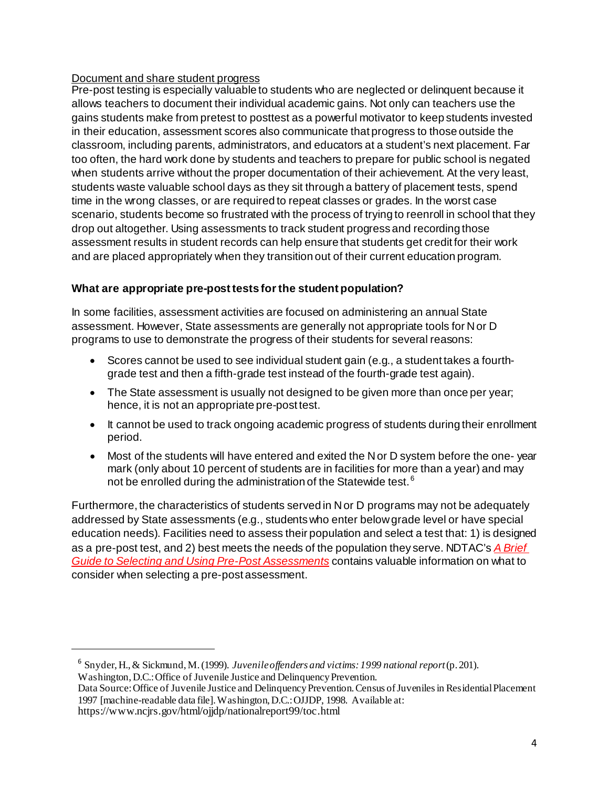# Document and share student progress

Pre-post testing is especially valuable to students who are neglected or delinquent because it allows teachers to document their individual academic gains. Not only can teachers use the gains students make from pretest to posttest as a powerful motivator to keep students invested in their education, assessment scores also communicate that progress to those outside the classroom, including parents, administrators, and educators at a student's next placement. Far too often, the hard work done by students and teachers to prepare for public school is negated when students arrive without the proper documentation of their achievement. At the very least, students waste valuable school days as they sit through a battery of placement tests, spend time in the wrong classes, or are required to repeat classes or grades. In the worst case scenario, students become so frustrated with the process of trying to reenroll in school that they drop out altogether. Using assessments to track student progress and recording those assessment results in student records can help ensure that students get credit for their work and are placed appropriately when they transition out of their current education program.

# **What are appropriate pre-post tests for the student population?**

In some facilities, assessment activities are focused on administering an annual State assessment. However, State assessments are generally not appropriate tools for N or D programs to use to demonstrate the progress of their students for several reasons:

- Scores cannot be used to see individual student gain (e.g., a student takes a fourthgrade test and then a fifth-grade test instead of the fourth-grade test again).
- The State assessment is usually not designed to be given more than once per year; hence, it is not an appropriate pre-post test.
- It cannot be used to track ongoing academic progress of students during their enrollment period.
- Most of the students will have entered and exited the N or D system before the one- year mark (only about 10 percent of students are in facilities for more than a year) and may not be enrolled during the administration of the Statewide test.<sup>[6](#page-3-0)</sup>

Furthermore, the characteristics of students served in N or D programs may not be adequately addressed by State assessments (e.g., students who enter below grade level or have special education needs). Facilities need to assess their population and select a test that: 1) is designed as a pre-post test, and 2) best meets the needs of the population they serve. NDTAC's *[A Brief](http://www.neglected-delinquent.org/nd/resources/spotlight/spotlight200604a.asp)  [Guide to Selecting and Using Pre-Post Assessments](http://www.neglected-delinquent.org/nd/resources/spotlight/spotlight200604a.asp)* contains valuable information on what to consider when selecting a pre-post assessment.

<span id="page-3-0"></span> $\overline{a}$ 

<sup>6</sup> Snyder,H.,& Sickmund,M.(1999). *Juvenile offenders and victims: 1999 national report*(p. 201). Washington,D.C.: Office of Juvenile Justice and Delinquency Prevention.

Data Source: Office of Juvenile Justice and Delinquency Prevention. Census of Juveniles in Residential Placement 1997 [machine-readable data file].Washington, D.C.:OJJDP, 1998. Available at:

<https://www.ncjrs.gov/html/ojjdp/nationalreport99/toc.html>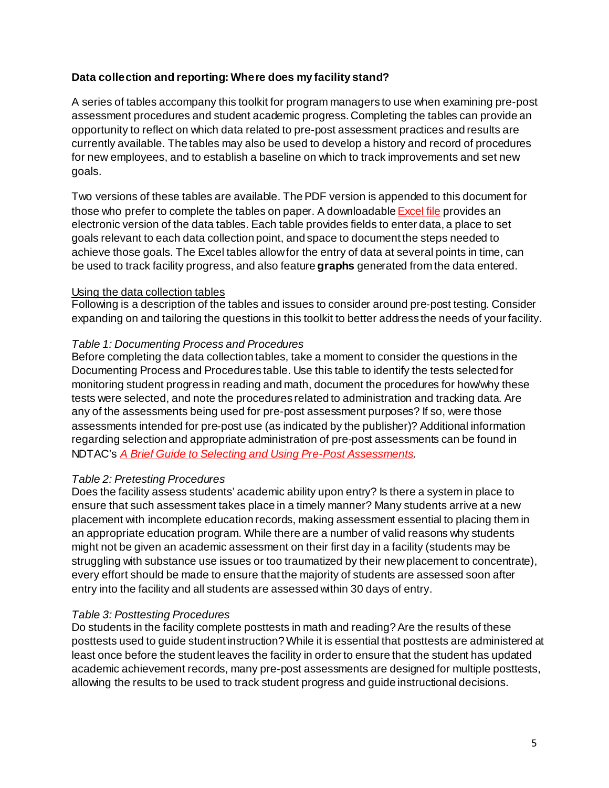## **Data collection and reporting: Where does my facility stand?**

A series of tables accompany this toolkit for program managers to use when examining pre-post assessment procedures and student academic progress. Completing the tables can provide an opportunity to reflect on which data related to pre-post assessment practices and results are currently available. The tables may also be used to develop a history and record of procedures for new employees, and to establish a baseline on which to track improvements and set new goals.

Two versions of these tables are available. The PDF version is appended to this document for those who prefer to complete the tables on paper. A downloadabl[e Excel file](http://www.neglected-delinquent.org/nd/resources/toolkits/tool_prepost_practitioners_tables.xls) provides an electronic version of the data tables. Each table provides fields to enter data, a place to set goals relevant to each data collection point, and space to document the steps needed to achieve those goals. The Excel tables allow for the entry of data at several points in time, can be used to track facility progress, and also feature **graphs** generated from the data entered.

### Using the data collection tables

Following is a description of the tables and issues to consider around pre-post testing. Consider expanding on and tailoring the questions in this toolkit to better address the needs of your facility.

### *Table 1: Documenting Process and Procedures*

Before completing the data collection tables, take a moment to consider the questions in the Documenting Process and Procedures table. Use this table to identify the tests selected for monitoring student progress in reading and math, document the procedures for how/why these tests were selected, and note the procedures related to administration and tracking data. Are any of the assessments being used for pre-post assessment purposes? If so, were those assessments intended for pre-post use (as indicated by the publisher)? Additional information regarding selection and appropriate administration of pre-post assessments can be found in NDTAC's *[A Brief Guide to Selecting and Using Pre-Post Assessments](http://www.neglected-delinquent.org/nd/resources/spotlight/spotlight200604a.asp).*

### *Table 2: Pretesting Procedures*

Does the facility assess students' academic ability upon entry? Is there a system in place to ensure that such assessment takes place in a timely manner? Many students arrive at a new placement with incomplete education records, making assessment essential to placing them in an appropriate education program. While there are a number of valid reasons why students might not be given an academic assessment on their first day in a facility (students may be struggling with substance use issues or too traumatized by their new placement to concentrate), every effort should be made to ensure that the majority of students are assessed soon after entry into the facility and all students are assessed within 30 days of entry.

### *Table 3: Posttesting Procedures*

Do students in the facility complete posttests in math and reading? Are the results of these posttests used to guide student instruction? While it is essential that posttests are administered at least once before the student leaves the facility in order to ensure that the student has updated academic achievement records, many pre-post assessments are designed for multiple posttests, allowing the results to be used to track student progress and guide instructional decisions.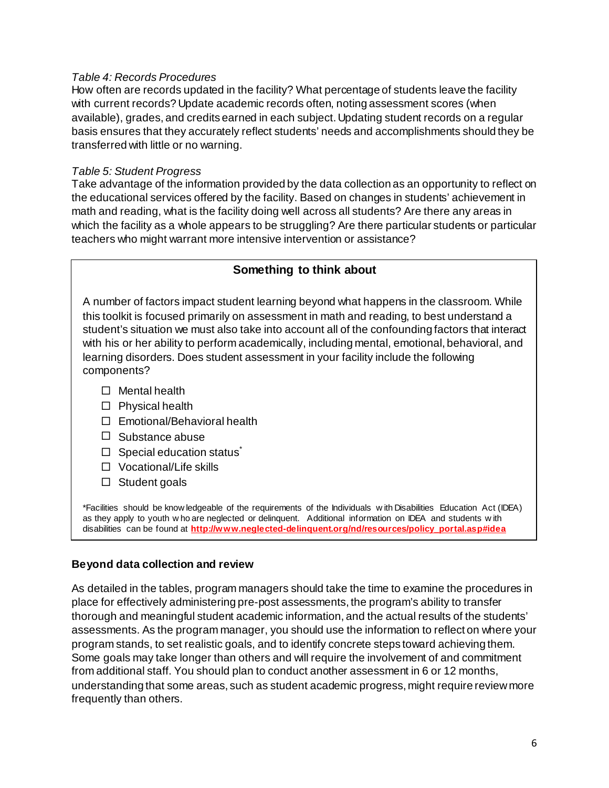### *Table 4: Records Procedures*

How often are records updated in the facility? What percentage of students leave the facility with current records? Update academic records often, noting assessment scores (when available), grades, and credits earned in each subject. Updating student records on a regular basis ensures that they accurately reflect students' needs and accomplishments should they be transferred with little or no warning.

#### *Table 5: Student Progress*

Take advantage of the information provided by the data collection as an opportunity to reflect on the educational services offered by the facility. Based on changes in students' achievement in math and reading, what is the facility doing well across all students? Are there any areas in which the facility as a whole appears to be struggling? Are there particular students or particular teachers who might warrant more intensive intervention or assistance?

### **Something to think about**

A number of factors impact student learning beyond what happens in the classroom. While this toolkit is focused primarily on assessment in math and reading, to best understand a student's situation we must also take into account all of the confounding factors that interact with his or her ability to perform academically, including mental, emotional, behavioral, and learning disorders. Does student assessment in your facility include the following components?

- $\Box$  Mental health
- $\square$  Physical health
- □ Emotional/Behavioral health
- $\Box$  Substance abuse
- $\Box$  Special education status<sup>\*</sup>
- □ Vocational/Life skills
- $\Box$  Student goals

\*Facilities should be know ledgeable of the requirements of the Individuals w ith Disabilities Education Act (IDEA) as they apply to youth w ho are neglected or delinquent. Additional information on IDEA and students w ith disabilities can be found at **[http://www.neglected-delinquent.org/nd/resources/policy\\_portal.asp#idea](http://www.neglected-delinquent.org/nd/resources/policy_portal.asp#idea)**

#### **Beyond data collection and review**

As detailed in the tables, program managers should take the time to examine the procedures in place for effectively administering pre-post assessments, the program's ability to transfer thorough and meaningful student academic information, and the actual results of the students' assessments. As the program manager, you should use the information to reflect on where your program stands, to set realistic goals, and to identify concrete steps toward achieving them. Some goals may take longer than others and will require the involvement of and commitment from additional staff. You should plan to conduct another assessment in 6 or 12 months, understanding that some areas, such as student academic progress, might require review more frequently than others.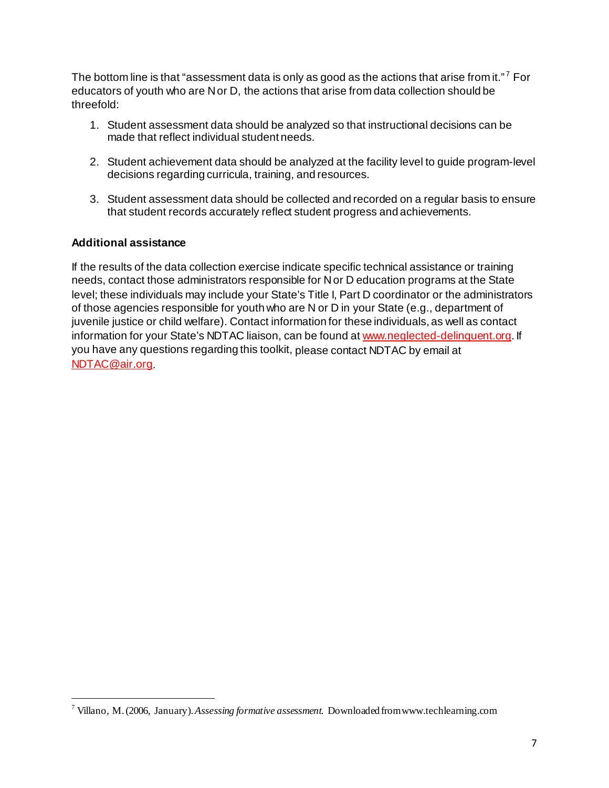The bottom line is that "assessment data is only as good as the actions that arise from it."<sup>7</sup> For educators of youth who are N or D, the actions that arise from data collection should be threefold:

- 1. Student assessment data should be analyzed so that instructional decisions can be made that reflect individual student needs.
- 2. Student achievement data should be analyzed at the facility level to guide program-level decisions regarding curricula, training, and resources.
- 3. Student assessment data should be collected and recorded on a regular basis to ensure that student records accurately reflect student progress and achievements.

### **Additional assistance**

l

If the results of the data collection exercise indicate specific technical assistance or training needs, contact those administrators responsible for N or D education programs at the State level; these individuals may include your State's Title I, Part D coordinator or the administrators of those agencies responsible for youth who are N or D in your State (e.g., department of juvenile justice or child welfare). Contact information for these individuals, as well as contact information for your State's NDTAC liaison, can be found a[t www.neglected-delinquent.org](http://www.neglected-delinquent.org/). If you have any questions regarding this toolkit, please contact NDTAC by email at [NDTAC@air.org.](mailto:NDTAC@air.org)

<span id="page-6-0"></span><sup>7</sup> Villano, M. (2006, January).*Assessing formative assessment.* Downloaded fro[mwww.techlearning.com](http://www.techlearning.com/)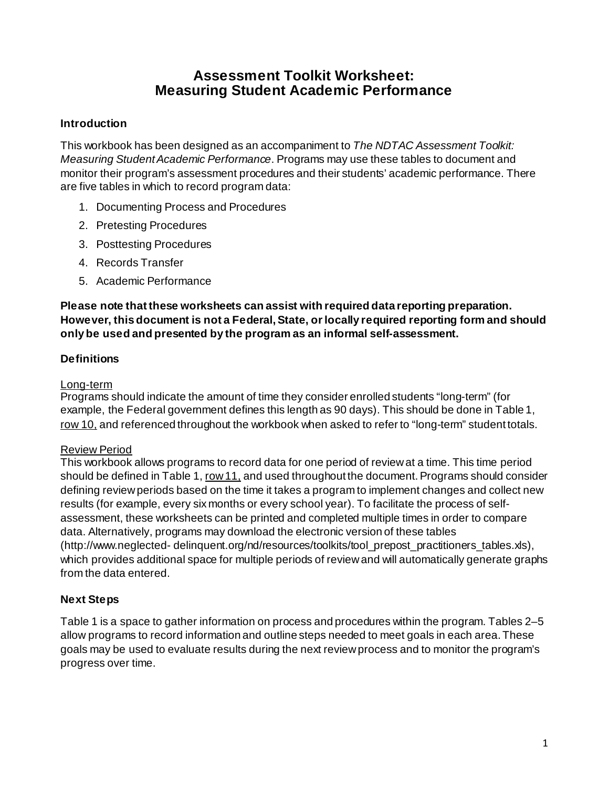# **Assessment Toolkit Worksheet: Measuring Student Academic Performance**

# **Introduction**

This workbook has been designed as an accompaniment to *The NDTAC Assessment Toolkit: Measuring Student Academic Performance*. Programs may use these tables to document and monitor their program's assessment procedures and their students' academic performance. There are five tables in which to record program data:

- 1. Documenting Process and Procedures
- 2. Pretesting Procedures
- 3. Posttesting Procedures
- 4. Records Transfer
- 5. Academic Performance

# **Please note that these worksheets can assist with required data reporting preparation. However, this document is not a Federal, State, or locally required reporting form and should only be used and presented by the program as an informal self-assessment.**

# **Definitions**

# Long-term

Programs should indicate the amount of time they consider enrolled students "long-term" (for example, the Federal government defines this length as 90 days). This should be done in Table 1, row 10, and referenced throughout the workbook when asked to refer to "long-term" student totals.

# Review Period

This workbook allows programs to record data for one period of review at a time. This time period should be defined in Table 1, row 11, and used throughout the document. Programs should consider defining review periods based on the time it takes a program to implement changes and collect new results (for example, every six months or every school year). To facilitate the process of selfassessment, these worksheets can be printed and completed multiple times in order to compare data. Alternatively, programs may download the electronic version of these tables (http://www.neglected- delinquent.org/nd/resources/toolkits/tool\_prepost\_practitioners\_tables.xls), which provides additional space for multiple periods of review and will automatically generate graphs from the data entered.

# **Next Steps**

Table 1 is a space to gather information on process and procedures within the program. Tables 2–5 allow programs to record information and outline steps needed to meet goals in each area. These goals may be used to evaluate results during the next review process and to monitor the program's progress over time.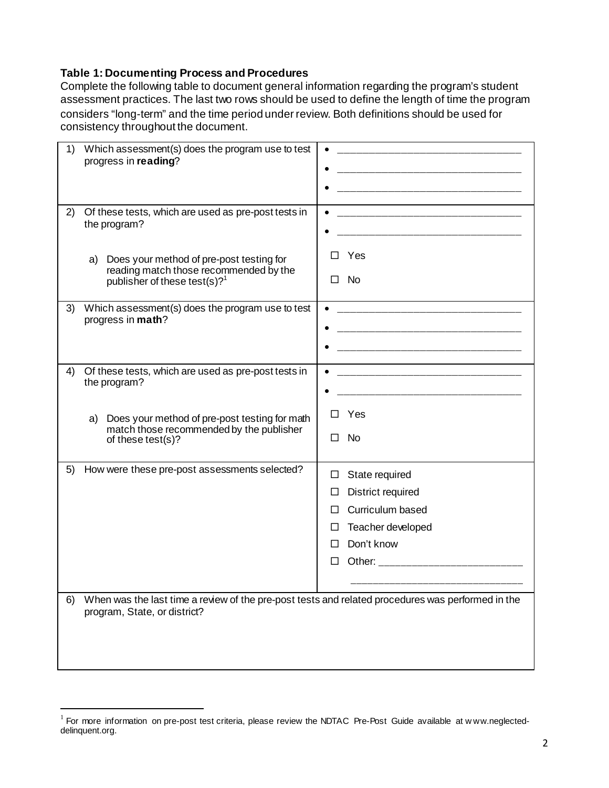## **Table 1: Documenting Process and Procedures**

Complete the following table to document general information regarding the program's student assessment practices. The last two rows should be used to define the length of time the program considers "long-term" and the time period under review. Both definitions should be used for consistency throughout the document.

| 1)       | Which assessment(s) does the program use to test<br>progress in reading?                                                                                                                              |                                                                                                                                                                 |
|----------|-------------------------------------------------------------------------------------------------------------------------------------------------------------------------------------------------------|-----------------------------------------------------------------------------------------------------------------------------------------------------------------|
| 2)<br>a) | Of these tests, which are used as pre-post tests in<br>the program?<br>Does your method of pre-post testing for<br>reading match those recommended by the<br>publisher of these test(s)? <sup>1</sup> | Yes<br>П<br>No<br>П                                                                                                                                             |
| 3)       | Which assessment(s) does the program use to test<br>progress in math?                                                                                                                                 | $\bullet$                                                                                                                                                       |
| 4)<br>a) | Of these tests, which are used as pre-post tests in<br>the program?<br>Does your method of pre-post testing for math<br>match those recommended by the publisher<br>of these test(s)?                 | <u> 1989 - Johann John Stone, mars eta bat eta bat eta bat ez arte eta bat ez arte eta bat ez arte ez arte ez a</u><br>Yes<br>□<br>$\Box$<br>No.                |
| 5)       | How were these pre-post assessments selected?                                                                                                                                                         | State required<br>Ц<br>District required<br>ப<br>Curriculum based<br>П<br>Teacher developed<br>Ш<br>Don't know<br>П<br>Other: _______________________<br>$\Box$ |
| 6)       | When was the last time a review of the pre-post tests and related procedures was performed in the<br>program, State, or district?                                                                     |                                                                                                                                                                 |

 $\overline{a}$ 

<span id="page-8-0"></span> $1$  For more information on pre-post test criteria, please review the NDTAC Pre-Post Guide available at www.neglected[delinquent.org.](http://www.neglected-delinquent.org/)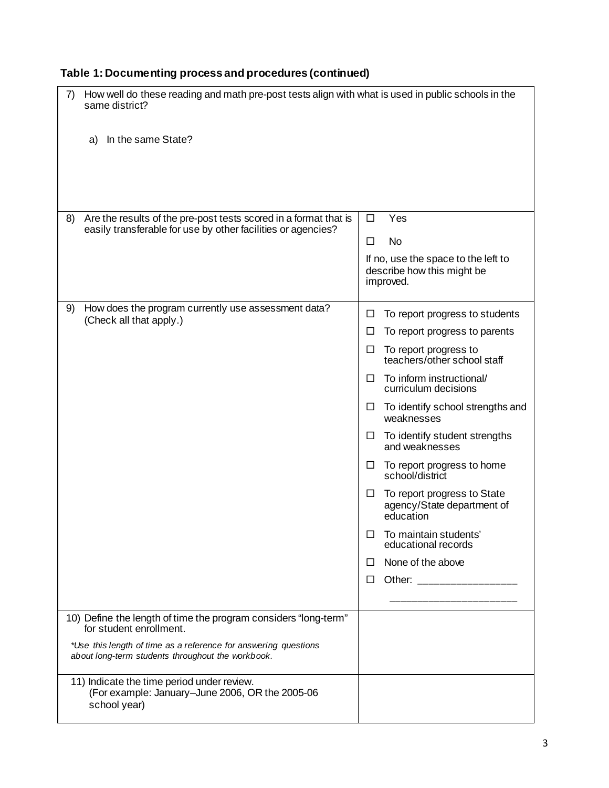| How well do these reading and math pre-post tests align with what is used in public schools in the<br>7)<br>same district?<br>In the same State?<br>a)                                                             |                                                                                                                                                                                                                                                                                                                                                                                                                                                                                                                                                                                           |
|--------------------------------------------------------------------------------------------------------------------------------------------------------------------------------------------------------------------|-------------------------------------------------------------------------------------------------------------------------------------------------------------------------------------------------------------------------------------------------------------------------------------------------------------------------------------------------------------------------------------------------------------------------------------------------------------------------------------------------------------------------------------------------------------------------------------------|
| Are the results of the pre-post tests scored in a format that is<br>8)<br>easily transferable for use by other facilities or agencies?                                                                             | Yes<br>$\Box$<br><b>No</b><br>П<br>If no, use the space to the left to<br>describe how this might be<br>improved.                                                                                                                                                                                                                                                                                                                                                                                                                                                                         |
| How does the program currently use assessment data?<br>9)<br>(Check all that apply.)                                                                                                                               | To report progress to students<br>□<br>To report progress to parents<br>ப<br>To report progress to<br>□<br>teachers/other school staff<br>To inform instructional/<br>$\Box$<br>curriculum decisions<br>To identify school strengths and<br>$\Box$<br>weaknesses<br>To identify student strengths<br>$\Box$<br>and weaknesses<br>To report progress to home<br>$\Box$<br>school/district<br>To report progress to State<br>□<br>agency/State department of<br>education<br>To maintain students'<br>ப<br>educational records<br>None of the above<br>П<br>Other: ___________________<br>□ |
| 10) Define the length of time the program considers "long-term"<br>for student enrollment.<br>*Use this length of time as a reference for answering questions<br>about long-term students throughout the workbook. |                                                                                                                                                                                                                                                                                                                                                                                                                                                                                                                                                                                           |
| 11) Indicate the time period under review.<br>(For example: January-June 2006, OR the 2005-06<br>school year)                                                                                                      |                                                                                                                                                                                                                                                                                                                                                                                                                                                                                                                                                                                           |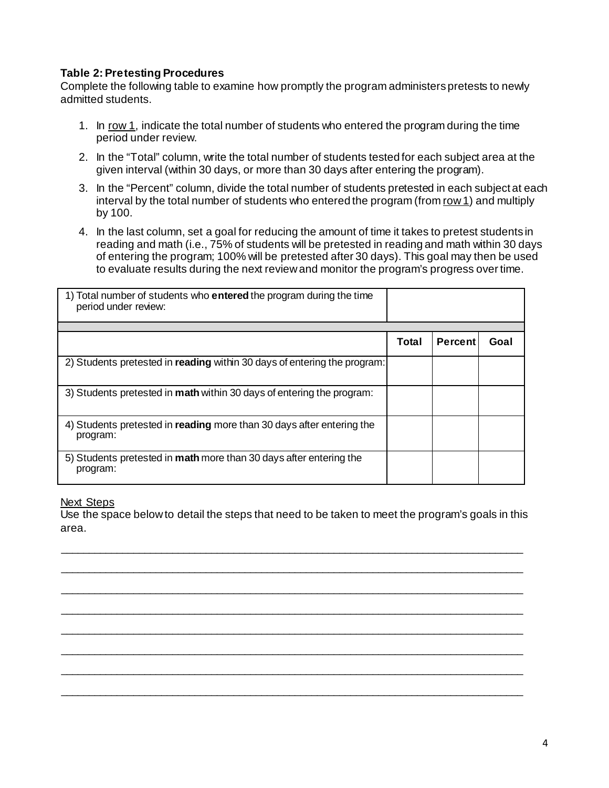# **Table 2: Pretesting Procedures**

Complete the following table to examine how promptly the program administers pretests to newly admitted students.

- 1. In row 1, indicate the total number of students who entered the program during the time period under review.
- 2. In the "Total" column, write the total number of students tested for each subject area at the given interval (within 30 days, or more than 30 days after entering the program).
- 3. In the "Percent" column, divide the total number of students pretested in each subject at each interval by the total number of students who entered the program (from row 1) and multiply by 100.
- 4. In the last column, set a goal for reducing the amount of time it takes to pretest students in reading and math (i.e., 75% of students will be pretested in reading and math within 30 days of entering the program; 100% will be pretested after 30 days). This goal may then be used to evaluate results during the next review and monitor the program's progress over time.

| 1) Total number of students who <b>entered</b> the program during the time<br>period under review: |       |                |      |
|----------------------------------------------------------------------------------------------------|-------|----------------|------|
|                                                                                                    |       |                |      |
|                                                                                                    | Total | <b>Percent</b> | Goal |
| 2) Students pretested in <b>reading</b> within 30 days of entering the program:                    |       |                |      |
| 3) Students pretested in <b>math</b> within 30 days of entering the program:                       |       |                |      |
| 4) Students pretested in reading more than 30 days after entering the<br>program:                  |       |                |      |
| 5) Students pretested in math more than 30 days after entering the<br>program:                     |       |                |      |

### Next Steps

Use the space below to detail the steps that need to be taken to meet the program's goals in this area.

\_\_\_\_\_\_\_\_\_\_\_\_\_\_\_\_\_\_\_\_\_\_\_\_\_\_\_\_\_\_\_\_\_\_\_\_\_\_\_\_\_\_\_\_\_\_\_\_\_\_\_\_\_\_\_\_\_\_\_\_\_\_\_\_\_\_\_\_\_\_\_\_\_\_\_\_\_\_\_\_\_\_\_ \_\_\_\_\_\_\_\_\_\_\_\_\_\_\_\_\_\_\_\_\_\_\_\_\_\_\_\_\_\_\_\_\_\_\_\_\_\_\_\_\_\_\_\_\_\_\_\_\_\_\_\_\_\_\_\_\_\_\_\_\_\_\_\_\_\_\_\_\_\_\_\_\_\_\_\_\_\_\_\_\_\_\_

\_\_\_\_\_\_\_\_\_\_\_\_\_\_\_\_\_\_\_\_\_\_\_\_\_\_\_\_\_\_\_\_\_\_\_\_\_\_\_\_\_\_\_\_\_\_\_\_\_\_\_\_\_\_\_\_\_\_\_\_\_\_\_\_\_\_\_\_\_\_\_\_\_\_\_\_\_\_\_\_\_\_\_

\_\_\_\_\_\_\_\_\_\_\_\_\_\_\_\_\_\_\_\_\_\_\_\_\_\_\_\_\_\_\_\_\_\_\_\_\_\_\_\_\_\_\_\_\_\_\_\_\_\_\_\_\_\_\_\_\_\_\_\_\_\_\_\_\_\_\_\_\_\_\_\_\_\_\_\_\_\_\_\_\_\_\_ \_\_\_\_\_\_\_\_\_\_\_\_\_\_\_\_\_\_\_\_\_\_\_\_\_\_\_\_\_\_\_\_\_\_\_\_\_\_\_\_\_\_\_\_\_\_\_\_\_\_\_\_\_\_\_\_\_\_\_\_\_\_\_\_\_\_\_\_\_\_\_\_\_\_\_\_\_\_\_\_\_\_\_

\_\_\_\_\_\_\_\_\_\_\_\_\_\_\_\_\_\_\_\_\_\_\_\_\_\_\_\_\_\_\_\_\_\_\_\_\_\_\_\_\_\_\_\_\_\_\_\_\_\_\_\_\_\_\_\_\_\_\_\_\_\_\_\_\_\_\_\_\_\_\_\_\_\_\_\_\_\_\_\_\_\_\_ \_\_\_\_\_\_\_\_\_\_\_\_\_\_\_\_\_\_\_\_\_\_\_\_\_\_\_\_\_\_\_\_\_\_\_\_\_\_\_\_\_\_\_\_\_\_\_\_\_\_\_\_\_\_\_\_\_\_\_\_\_\_\_\_\_\_\_\_\_\_\_\_\_\_\_\_\_\_\_\_\_\_\_

\_\_\_\_\_\_\_\_\_\_\_\_\_\_\_\_\_\_\_\_\_\_\_\_\_\_\_\_\_\_\_\_\_\_\_\_\_\_\_\_\_\_\_\_\_\_\_\_\_\_\_\_\_\_\_\_\_\_\_\_\_\_\_\_\_\_\_\_\_\_\_\_\_\_\_\_\_\_\_\_\_\_\_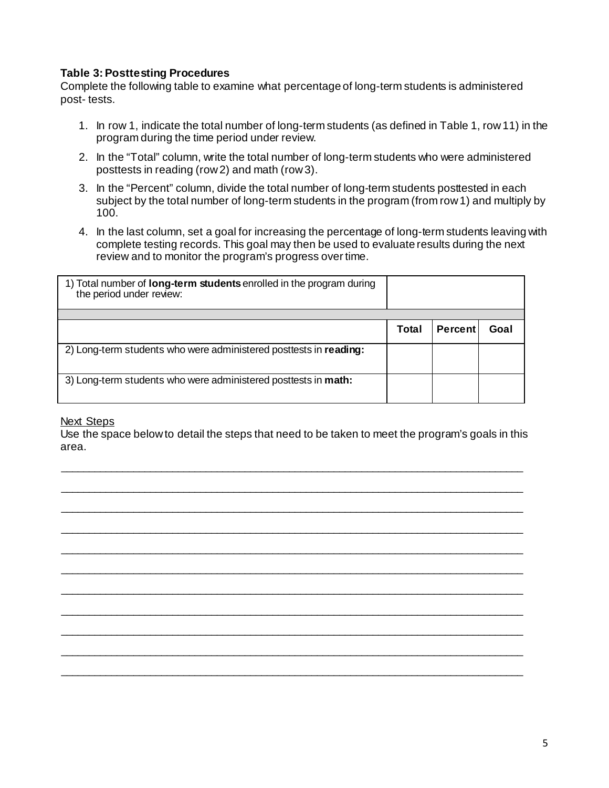# **Table 3: Posttesting Procedures**

Complete the following table to examine what percentage of long-term students is administered post- tests.

- 1. In row 1, indicate the total number of long-term students (as defined in Table 1, row 11) in the program during the time period under review.
- 2. In the "Total" column, write the total number of long-term students who were administered posttests in reading (row 2) and math (row 3).
- 3. In the "Percent" column, divide the total number of long-term students posttested in each subject by the total number of long-term students in the program (from row 1) and multiply by 100.
- 4. In the last column, set a goal for increasing the percentage of long-term students leaving with complete testing records. This goal may then be used to evaluate results during the next review and to monitor the program's progress over time.

| 1) Total number of <b>long-term students</b> enrolled in the program during<br>the period under review: |       |                |      |
|---------------------------------------------------------------------------------------------------------|-------|----------------|------|
|                                                                                                         |       |                |      |
|                                                                                                         | Total | <b>Percent</b> | Goal |
| 2) Long-term students who were administered posttests in reading:                                       |       |                |      |
| 3) Long-term students who were administered posttests in math:                                          |       |                |      |

### **Next Steps**

Use the space below to detail the steps that need to be taken to meet the program's goals in this area.

\_\_\_\_\_\_\_\_\_\_\_\_\_\_\_\_\_\_\_\_\_\_\_\_\_\_\_\_\_\_\_\_\_\_\_\_\_\_\_\_\_\_\_\_\_\_\_\_\_\_\_\_\_\_\_\_\_\_\_\_\_\_\_\_\_\_\_\_\_\_\_\_\_\_\_\_\_\_\_\_\_\_\_

\_\_\_\_\_\_\_\_\_\_\_\_\_\_\_\_\_\_\_\_\_\_\_\_\_\_\_\_\_\_\_\_\_\_\_\_\_\_\_\_\_\_\_\_\_\_\_\_\_\_\_\_\_\_\_\_\_\_\_\_\_\_\_\_\_\_\_\_\_\_\_\_\_\_\_\_\_\_\_\_\_\_\_ \_\_\_\_\_\_\_\_\_\_\_\_\_\_\_\_\_\_\_\_\_\_\_\_\_\_\_\_\_\_\_\_\_\_\_\_\_\_\_\_\_\_\_\_\_\_\_\_\_\_\_\_\_\_\_\_\_\_\_\_\_\_\_\_\_\_\_\_\_\_\_\_\_\_\_\_\_\_\_\_\_\_\_

\_\_\_\_\_\_\_\_\_\_\_\_\_\_\_\_\_\_\_\_\_\_\_\_\_\_\_\_\_\_\_\_\_\_\_\_\_\_\_\_\_\_\_\_\_\_\_\_\_\_\_\_\_\_\_\_\_\_\_\_\_\_\_\_\_\_\_\_\_\_\_\_\_\_\_\_\_\_\_\_\_\_\_

\_\_\_\_\_\_\_\_\_\_\_\_\_\_\_\_\_\_\_\_\_\_\_\_\_\_\_\_\_\_\_\_\_\_\_\_\_\_\_\_\_\_\_\_\_\_\_\_\_\_\_\_\_\_\_\_\_\_\_\_\_\_\_\_\_\_\_\_\_\_\_\_\_\_\_\_\_\_\_\_\_\_\_ \_\_\_\_\_\_\_\_\_\_\_\_\_\_\_\_\_\_\_\_\_\_\_\_\_\_\_\_\_\_\_\_\_\_\_\_\_\_\_\_\_\_\_\_\_\_\_\_\_\_\_\_\_\_\_\_\_\_\_\_\_\_\_\_\_\_\_\_\_\_\_\_\_\_\_\_\_\_\_\_\_\_\_

\_\_\_\_\_\_\_\_\_\_\_\_\_\_\_\_\_\_\_\_\_\_\_\_\_\_\_\_\_\_\_\_\_\_\_\_\_\_\_\_\_\_\_\_\_\_\_\_\_\_\_\_\_\_\_\_\_\_\_\_\_\_\_\_\_\_\_\_\_\_\_\_\_\_\_\_\_\_\_\_\_\_\_

\_\_\_\_\_\_\_\_\_\_\_\_\_\_\_\_\_\_\_\_\_\_\_\_\_\_\_\_\_\_\_\_\_\_\_\_\_\_\_\_\_\_\_\_\_\_\_\_\_\_\_\_\_\_\_\_\_\_\_\_\_\_\_\_\_\_\_\_\_\_\_\_\_\_\_\_\_\_\_\_\_\_\_ \_\_\_\_\_\_\_\_\_\_\_\_\_\_\_\_\_\_\_\_\_\_\_\_\_\_\_\_\_\_\_\_\_\_\_\_\_\_\_\_\_\_\_\_\_\_\_\_\_\_\_\_\_\_\_\_\_\_\_\_\_\_\_\_\_\_\_\_\_\_\_\_\_\_\_\_\_\_\_\_\_\_\_

\_\_\_\_\_\_\_\_\_\_\_\_\_\_\_\_\_\_\_\_\_\_\_\_\_\_\_\_\_\_\_\_\_\_\_\_\_\_\_\_\_\_\_\_\_\_\_\_\_\_\_\_\_\_\_\_\_\_\_\_\_\_\_\_\_\_\_\_\_\_\_\_\_\_\_\_\_\_\_\_\_\_\_ \_\_\_\_\_\_\_\_\_\_\_\_\_\_\_\_\_\_\_\_\_\_\_\_\_\_\_\_\_\_\_\_\_\_\_\_\_\_\_\_\_\_\_\_\_\_\_\_\_\_\_\_\_\_\_\_\_\_\_\_\_\_\_\_\_\_\_\_\_\_\_\_\_\_\_\_\_\_\_\_\_\_\_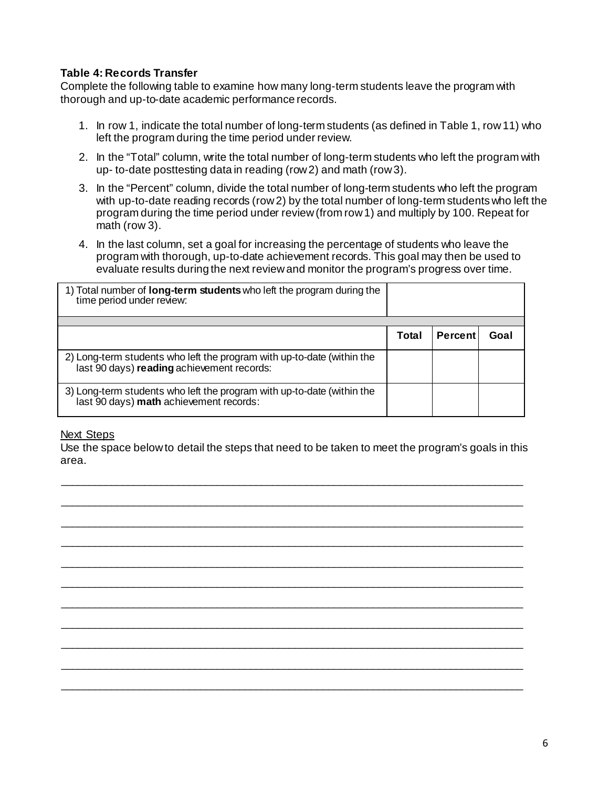# **Table 4: Records Transfer**

Complete the following table to examine how many long-term students leave the program with thorough and up-to-date academic performance records.

- 1. In row 1, indicate the total number of long-term students (as defined in Table 1, row 11) who left the program during the time period under review.
- 2. In the "Total" column, write the total number of long-term students who left the program with up- to-date posttesting data in reading (row 2) and math (row 3).
- 3. In the "Percent" column, divide the total number of long-term students who left the program with up-to-date reading records (row 2) by the total number of long-term students who left the program during the time period under review (from row 1) and multiply by 100. Repeat for math (row 3).
- 4. In the last column, set a goal for increasing the percentage of students who leave the program with thorough, up-to-date achievement records. This goal may then be used to evaluate results during the next review and monitor the program's progress over time.

| 1) Total number of <b>long-term students</b> who left the program during the<br>time period under review:            |       |                |      |
|----------------------------------------------------------------------------------------------------------------------|-------|----------------|------|
|                                                                                                                      |       |                |      |
|                                                                                                                      | Total | <b>Percent</b> | Goal |
| 2) Long-term students who left the program with up-to-date (within the<br>last 90 days) reading achievement records: |       |                |      |
| 3) Long-term students who left the program with up-to-date (within the<br>last 90 days) math achievement records:    |       |                |      |

### Next Steps

Use the space below to detail the steps that need to be taken to meet the program's goals in this area.

\_\_\_\_\_\_\_\_\_\_\_\_\_\_\_\_\_\_\_\_\_\_\_\_\_\_\_\_\_\_\_\_\_\_\_\_\_\_\_\_\_\_\_\_\_\_\_\_\_\_\_\_\_\_\_\_\_\_\_\_\_\_\_\_\_\_\_\_\_\_\_\_\_\_\_\_\_\_\_\_\_\_\_

\_\_\_\_\_\_\_\_\_\_\_\_\_\_\_\_\_\_\_\_\_\_\_\_\_\_\_\_\_\_\_\_\_\_\_\_\_\_\_\_\_\_\_\_\_\_\_\_\_\_\_\_\_\_\_\_\_\_\_\_\_\_\_\_\_\_\_\_\_\_\_\_\_\_\_\_\_\_\_\_\_\_\_

\_\_\_\_\_\_\_\_\_\_\_\_\_\_\_\_\_\_\_\_\_\_\_\_\_\_\_\_\_\_\_\_\_\_\_\_\_\_\_\_\_\_\_\_\_\_\_\_\_\_\_\_\_\_\_\_\_\_\_\_\_\_\_\_\_\_\_\_\_\_\_\_\_\_\_\_\_\_\_\_\_\_\_ \_\_\_\_\_\_\_\_\_\_\_\_\_\_\_\_\_\_\_\_\_\_\_\_\_\_\_\_\_\_\_\_\_\_\_\_\_\_\_\_\_\_\_\_\_\_\_\_\_\_\_\_\_\_\_\_\_\_\_\_\_\_\_\_\_\_\_\_\_\_\_\_\_\_\_\_\_\_\_\_\_\_\_

\_\_\_\_\_\_\_\_\_\_\_\_\_\_\_\_\_\_\_\_\_\_\_\_\_\_\_\_\_\_\_\_\_\_\_\_\_\_\_\_\_\_\_\_\_\_\_\_\_\_\_\_\_\_\_\_\_\_\_\_\_\_\_\_\_\_\_\_\_\_\_\_\_\_\_\_\_\_\_\_\_\_\_ \_\_\_\_\_\_\_\_\_\_\_\_\_\_\_\_\_\_\_\_\_\_\_\_\_\_\_\_\_\_\_\_\_\_\_\_\_\_\_\_\_\_\_\_\_\_\_\_\_\_\_\_\_\_\_\_\_\_\_\_\_\_\_\_\_\_\_\_\_\_\_\_\_\_\_\_\_\_\_\_\_\_\_

\_\_\_\_\_\_\_\_\_\_\_\_\_\_\_\_\_\_\_\_\_\_\_\_\_\_\_\_\_\_\_\_\_\_\_\_\_\_\_\_\_\_\_\_\_\_\_\_\_\_\_\_\_\_\_\_\_\_\_\_\_\_\_\_\_\_\_\_\_\_\_\_\_\_\_\_\_\_\_\_\_\_\_

\_\_\_\_\_\_\_\_\_\_\_\_\_\_\_\_\_\_\_\_\_\_\_\_\_\_\_\_\_\_\_\_\_\_\_\_\_\_\_\_\_\_\_\_\_\_\_\_\_\_\_\_\_\_\_\_\_\_\_\_\_\_\_\_\_\_\_\_\_\_\_\_\_\_\_\_\_\_\_\_\_\_\_ \_\_\_\_\_\_\_\_\_\_\_\_\_\_\_\_\_\_\_\_\_\_\_\_\_\_\_\_\_\_\_\_\_\_\_\_\_\_\_\_\_\_\_\_\_\_\_\_\_\_\_\_\_\_\_\_\_\_\_\_\_\_\_\_\_\_\_\_\_\_\_\_\_\_\_\_\_\_\_\_\_\_\_

\_\_\_\_\_\_\_\_\_\_\_\_\_\_\_\_\_\_\_\_\_\_\_\_\_\_\_\_\_\_\_\_\_\_\_\_\_\_\_\_\_\_\_\_\_\_\_\_\_\_\_\_\_\_\_\_\_\_\_\_\_\_\_\_\_\_\_\_\_\_\_\_\_\_\_\_\_\_\_\_\_\_\_

\_\_\_\_\_\_\_\_\_\_\_\_\_\_\_\_\_\_\_\_\_\_\_\_\_\_\_\_\_\_\_\_\_\_\_\_\_\_\_\_\_\_\_\_\_\_\_\_\_\_\_\_\_\_\_\_\_\_\_\_\_\_\_\_\_\_\_\_\_\_\_\_\_\_\_\_\_\_\_\_\_\_\_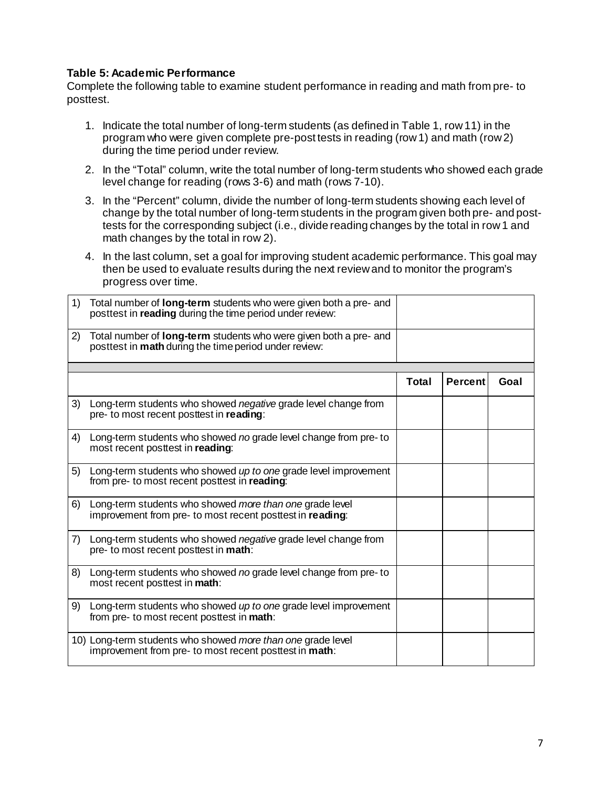### **Table 5: Academic Performance**

Complete the following table to examine student performance in reading and math from pre- to posttest.

- 1. Indicate the total number of long-term students (as defined in Table 1, row 11) in the program who were given complete pre-post tests in reading (row 1) and math (row 2) during the time period under review.
- 2. In the "Total" column, write the total number of long-term students who showed each grade level change for reading (rows 3-6) and math (rows 7-10).
- 3. In the "Percent" column, divide the number of long-term students showing each level of change by the total number of long-term students in the program given both pre- and posttests for the corresponding subject (i.e., divide reading changes by the total in row 1 and math changes by the total in row 2).
- 4. In the last column, set a goal for improving student academic performance. This goal may then be used to evaluate results during the next review and to monitor the program's progress over time.

| 1) | Total number of <b>long-term</b> students who were given both a pre- and<br>posttest in <b>reading</b> during the time period under review: |              |                |      |
|----|---------------------------------------------------------------------------------------------------------------------------------------------|--------------|----------------|------|
| 2) | Total number of <b>long-term</b> students who were given both a pre- and<br>posttest in <b>math</b> during the time period under review:    |              |                |      |
|    |                                                                                                                                             |              |                |      |
|    |                                                                                                                                             | <b>Total</b> | <b>Percent</b> | Goal |
| 3) | Long-term students who showed <i>negative</i> grade level change from<br>pre- to most recent posttest in reading:                           |              |                |      |
| 4) | Long-term students who showed no grade level change from pre-to<br>most recent posttest in reading:                                         |              |                |      |
| 5) | Long-term students who showed up to one grade level improvement<br>from pre- to most recent posttest in reading:                            |              |                |      |
| 6) | Long-term students who showed more than one grade level<br>improvement from pre- to most recent posttest in reading:                        |              |                |      |
| 7) | Long-term students who showed <i>negative</i> grade level change from<br>pre- to most recent posttest in math:                              |              |                |      |
| 8) | Long-term students who showed no grade level change from pre-to<br>most recent posttest in math:                                            |              |                |      |
| 9) | Long-term students who showed up to one grade level improvement<br>from pre- to most recent posttest in math:                               |              |                |      |
|    | 10) Long-term students who showed more than one grade level<br>improvement from pre- to most recent posttest in math:                       |              |                |      |